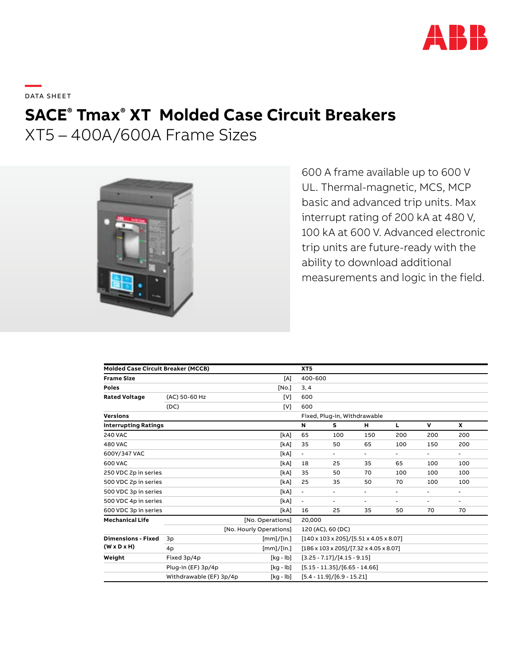

**—**  DATA SHEET

# **SACE® Tmax® XT Molded Case Circuit Breakers**

XT5 – 400A/600A Frame Sizes



600 A frame available up to 600 V UL. Thermal-magnetic, MCS, MCP basic and advanced trip units. Max interrupt rating of 200 kA at 480 V, 100 kA at 600 V. Advanced electronic trip units are future-ready with the ability to download additional measurements and logic in the field.

| <b>Molded Case Circuit Breaker (MCCB)</b>            |                              |             | XT <sub>5</sub>                                              |        |     |        |     |     |  |
|------------------------------------------------------|------------------------------|-------------|--------------------------------------------------------------|--------|-----|--------|-----|-----|--|
| <b>Frame Size</b>                                    |                              | [A]         | 400-600                                                      |        |     |        |     |     |  |
| <b>Poles</b>                                         |                              | [No.]       | 3, 4                                                         |        |     |        |     |     |  |
| <b>Rated Voltage</b>                                 | (AC) 50-60 Hz                | [V]         | 600                                                          |        |     |        |     |     |  |
|                                                      | (DC)                         | [V]         | 600                                                          |        |     |        |     |     |  |
| <b>Versions</b>                                      | Fixed, Plug-in, Withdrawable |             |                                                              |        |     |        |     |     |  |
| <b>Interrupting Ratings</b>                          |                              |             | N                                                            | s      | н   | L      | v   | X   |  |
| <b>240 VAC</b>                                       |                              | [kA]        | 65                                                           | 100    | 150 | 200    | 200 | 200 |  |
| <b>480 VAC</b>                                       |                              | [kA]        | 35                                                           | 50     | 65  | 100    | 150 | 200 |  |
| 600Y/347 VAC                                         |                              | [kA]        | ٠                                                            | $\sim$ | ٠   | ۰.     | ٠   | ٠   |  |
| 600 VAC                                              |                              | [kA]        | 18                                                           | 25     | 35  | 65     | 100 | 100 |  |
| 250 VDC 2p in series                                 |                              | [kA]        | 35                                                           | 50     | 70  | 100    | 100 | 100 |  |
| 500 VDC 2p in series                                 |                              | [kA]        | 25                                                           | 35     | 50  | 70     | 100 | 100 |  |
| 500 VDC 3p in series                                 |                              | [kA]        | ۰                                                            | ٠      | ٠   | ۰.     | ۰   | ٠   |  |
| 500 VDC 4p in series                                 |                              | [kA]        | ۰                                                            | ۰      | ۰   | $\sim$ | ٠   |     |  |
| 600 VDC 3p in series                                 |                              | [kA]        | 16                                                           | 25     | 35  | 50     | 70  | 70  |  |
| <b>Mechanical Life</b>                               |                              | 20,000      |                                                              |        |     |        |     |     |  |
|                                                      | [No. Hourly Operations]      |             | 120 (AC), 60 (DC)                                            |        |     |        |     |     |  |
| <b>Dimensions - Fixed</b><br>$(W \times D \times H)$ | 3p                           | [mm]/[in.]  | $[140 \times 103 \times 205]/[5.51 \times 4.05 \times 8.07]$ |        |     |        |     |     |  |
|                                                      | 4p                           | [mm]/[in.]  | $[186 \times 103 \times 205]/[7.32 \times 4.05 \times 8.07]$ |        |     |        |     |     |  |
| Weight                                               | Fixed 3p/4p                  | $[kq - lb]$ | $[3.25 - 7.17]/[4.15 - 9.15]$                                |        |     |        |     |     |  |
|                                                      | Plug-in (EF) 3p/4p           | [kg - lb]   | $[5.15 - 11.35]/[6.65 - 14.66]$                              |        |     |        |     |     |  |
|                                                      | Withdrawable (EF) 3p/4p      | [kg - lb]   | $[5.4 - 11.9]/[6.9 - 15.21]$                                 |        |     |        |     |     |  |